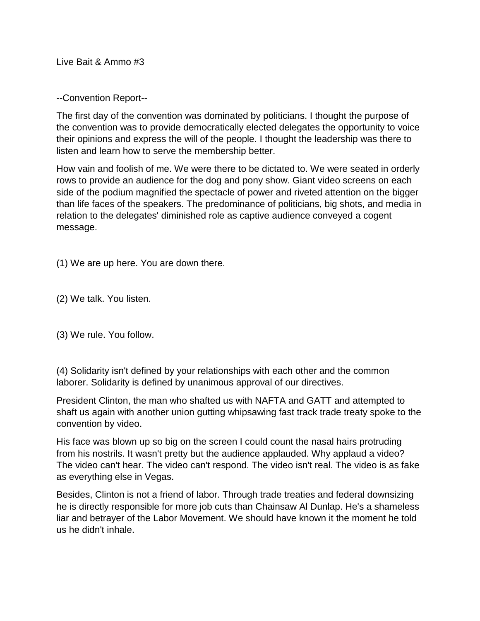Live Bait & Ammo #3

--Convention Report--

The first day of the convention was dominated by politicians. I thought the purpose of the convention was to provide democratically elected delegates the opportunity to voice their opinions and express the will of the people. I thought the leadership was there to listen and learn how to serve the membership better.

How vain and foolish of me. We were there to be dictated to. We were seated in orderly rows to provide an audience for the dog and pony show. Giant video screens on each side of the podium magnified the spectacle of power and riveted attention on the bigger than life faces of the speakers. The predominance of politicians, big shots, and media in relation to the delegates' diminished role as captive audience conveyed a cogent message.

(1) We are up here. You are down there.

(2) We talk. You listen.

(3) We rule. You follow.

(4) Solidarity isn't defined by your relationships with each other and the common laborer. Solidarity is defined by unanimous approval of our directives.

President Clinton, the man who shafted us with NAFTA and GATT and attempted to shaft us again with another union gutting whipsawing fast track trade treaty spoke to the convention by video.

His face was blown up so big on the screen I could count the nasal hairs protruding from his nostrils. It wasn't pretty but the audience applauded. Why applaud a video? The video can't hear. The video can't respond. The video isn't real. The video is as fake as everything else in Vegas.

Besides, Clinton is not a friend of labor. Through trade treaties and federal downsizing he is directly responsible for more job cuts than Chainsaw Al Dunlap. He's a shameless liar and betrayer of the Labor Movement. We should have known it the moment he told us he didn't inhale.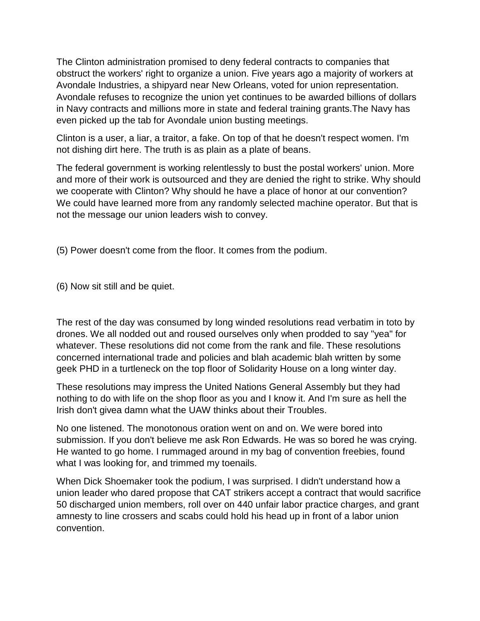The Clinton administration promised to deny federal contracts to companies that obstruct the workers' right to organize a union. Five years ago a majority of workers at Avondale Industries, a shipyard near New Orleans, voted for union representation. Avondale refuses to recognize the union yet continues to be awarded billions of dollars in Navy contracts and millions more in state and federal training grants.The Navy has even picked up the tab for Avondale union busting meetings.

Clinton is a user, a liar, a traitor, a fake. On top of that he doesn't respect women. I'm not dishing dirt here. The truth is as plain as a plate of beans.

The federal government is working relentlessly to bust the postal workers' union. More and more of their work is outsourced and they are denied the right to strike. Why should we cooperate with Clinton? Why should he have a place of honor at our convention? We could have learned more from any randomly selected machine operator. But that is not the message our union leaders wish to convey.

(5) Power doesn't come from the floor. It comes from the podium.

(6) Now sit still and be quiet.

The rest of the day was consumed by long winded resolutions read verbatim in toto by drones. We all nodded out and roused ourselves only when prodded to say "yea" for whatever. These resolutions did not come from the rank and file. These resolutions concerned international trade and policies and blah academic blah written by some geek PHD in a turtleneck on the top floor of Solidarity House on a long winter day.

These resolutions may impress the United Nations General Assembly but they had nothing to do with life on the shop floor as you and I know it. And I'm sure as hell the Irish don't givea damn what the UAW thinks about their Troubles.

No one listened. The monotonous oration went on and on. We were bored into submission. If you don't believe me ask Ron Edwards. He was so bored he was crying. He wanted to go home. I rummaged around in my bag of convention freebies, found what I was looking for, and trimmed my toenails.

When Dick Shoemaker took the podium, I was surprised. I didn't understand how a union leader who dared propose that CAT strikers accept a contract that would sacrifice 50 discharged union members, roll over on 440 unfair labor practice charges, and grant amnesty to line crossers and scabs could hold his head up in front of a labor union convention.